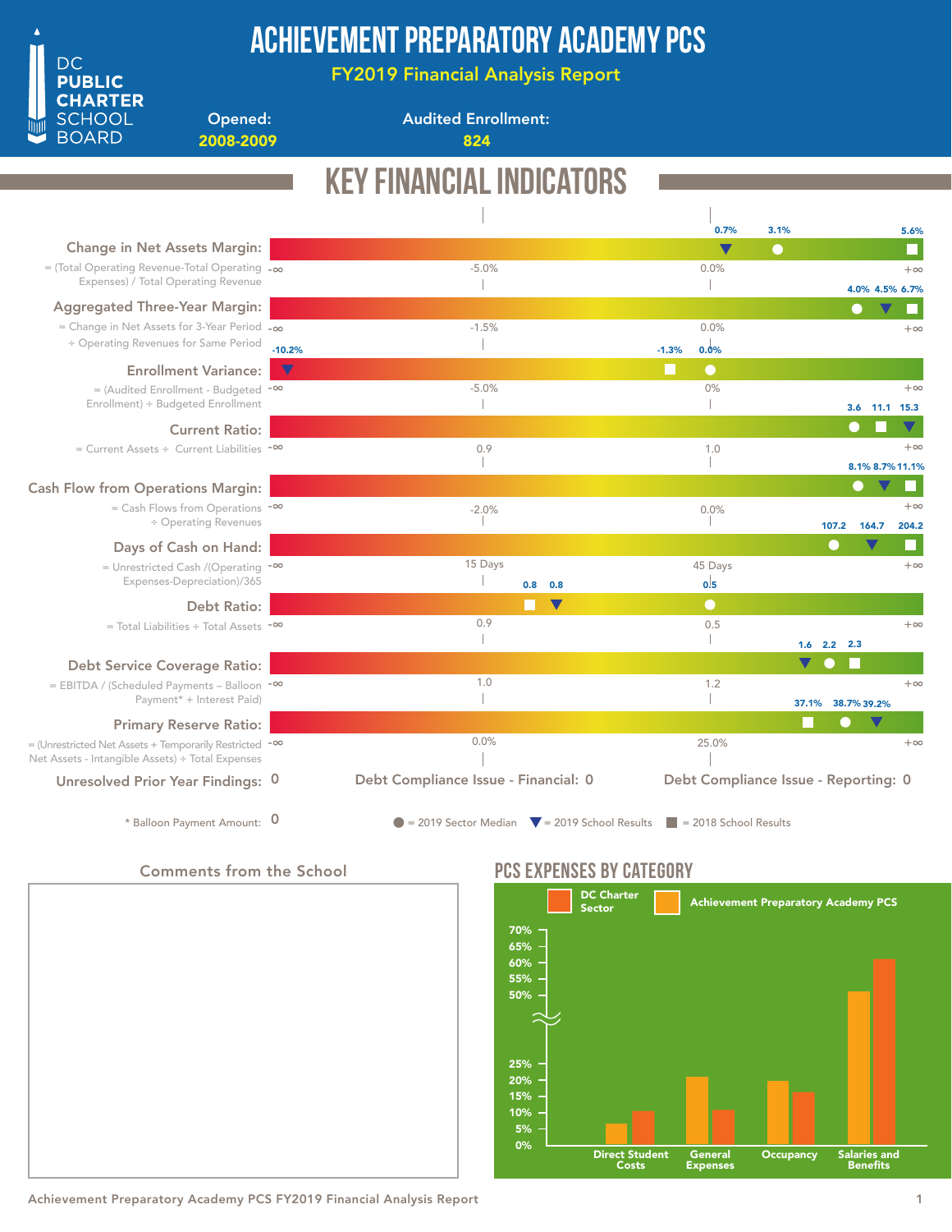

## Achievement Preparatory Academy PCS

FY2019 Financial Analysis Report

Opened: 2008-2009 824

Audited Enrollment:

## Key Financial Indicators

| <b>Change in Net Assets Margin:</b>                                                                                         |          |                                                                                                |         | 0.7%<br>$\blacktriangledown$ | 3.1%<br>$\bullet$ |                                      |                 | 5.6%      |
|-----------------------------------------------------------------------------------------------------------------------------|----------|------------------------------------------------------------------------------------------------|---------|------------------------------|-------------------|--------------------------------------|-----------------|-----------|
| $=$ (Total Operating Revenue-Total Operating $-\infty$                                                                      |          | $-5.0%$                                                                                        |         | 0.0%                         |                   |                                      |                 | $+\infty$ |
| Expenses) / Total Operating Revenue                                                                                         |          |                                                                                                |         |                              |                   |                                      | 4.0% 4.5% 6.7%  |           |
| <b>Aggregated Three-Year Margin:</b>                                                                                        |          |                                                                                                |         |                              |                   |                                      |                 |           |
| = Change in Net Assets for 3-Year Period $-\infty$                                                                          |          | $-1.5%$                                                                                        |         | 0.0%                         |                   |                                      |                 | $+\infty$ |
| ÷ Operating Revenues for Same Period                                                                                        | $-10.2%$ |                                                                                                | $-1.3%$ | 0.0%                         |                   |                                      |                 |           |
| <b>Enrollment Variance:</b>                                                                                                 | $\nabla$ |                                                                                                |         | $\bullet$                    |                   |                                      |                 |           |
| $=$ (Audited Enrollment - Budgeted $-$ <sup>00</sup>                                                                        |          | $-5.0%$                                                                                        |         | 0%                           |                   |                                      |                 | $+\infty$ |
| Enrollment) ÷ Budgeted Enrollment                                                                                           |          |                                                                                                |         |                              |                   |                                      | 3.6 11.1 15.3   |           |
| <b>Current Ratio:</b>                                                                                                       |          |                                                                                                |         |                              |                   |                                      |                 |           |
| = Current Assets ÷ Current Liabilities -∞                                                                                   |          | 0.9                                                                                            |         | 1.0                          |                   |                                      |                 | $+\infty$ |
|                                                                                                                             |          |                                                                                                |         |                              |                   |                                      | 8.1% 8.7% 11.1% |           |
| <b>Cash Flow from Operations Margin:</b>                                                                                    |          |                                                                                                |         |                              |                   | $\mathbf{\color{red}\text{}}$        |                 |           |
| $=$ Cash Flows from Operations $-$ <sup>00</sup>                                                                            |          | $-2.0%$                                                                                        |         | 0.0%                         |                   |                                      |                 | $+\infty$ |
| ÷ Operating Revenues                                                                                                        |          |                                                                                                |         |                              |                   | 107.2<br>164.7                       |                 | 204.2     |
| Days of Cash on Hand:                                                                                                       |          |                                                                                                |         |                              |                   |                                      |                 |           |
| = Unrestricted Cash /(Operating $-\infty$                                                                                   |          | 15 Days                                                                                        |         | 45 Days                      |                   |                                      |                 | $+\infty$ |
| Expenses-Depreciation)/365                                                                                                  |          | $0.8\quad 0.8$                                                                                 |         | 0.5                          |                   |                                      |                 |           |
| Debt Ratio:                                                                                                                 |          | $\blacktriangledown$                                                                           |         | $\bullet$                    |                   |                                      |                 |           |
| $=$ Total Liabilities ÷ Total Assets $-$ <sup>00</sup>                                                                      |          | 0.9                                                                                            |         | 0.5                          |                   |                                      |                 | $+\infty$ |
|                                                                                                                             |          |                                                                                                |         |                              |                   | $1.6$ 2.2 2.3                        |                 |           |
| <b>Debt Service Coverage Ratio:</b>                                                                                         |          | 1.0                                                                                            |         |                              |                   |                                      |                 |           |
| $=$ EBITDA / (Scheduled Payments – Balloon $-\infty$<br>Payment* + Interest Paid)                                           |          |                                                                                                |         | 1.2                          |                   |                                      |                 | $+\infty$ |
|                                                                                                                             |          |                                                                                                |         |                              |                   | 38.7% 39.2%<br>37.1%                 |                 |           |
| <b>Primary Reserve Ratio:</b>                                                                                               |          | 0.0%                                                                                           |         | 25.0%                        |                   |                                      |                 | $+\infty$ |
| $=$ (Unrestricted Net Assets + Temporarily Restricted $-$ <sup>00</sup><br>Net Assets - Intangible Assets) ÷ Total Expenses |          |                                                                                                |         |                              |                   |                                      |                 |           |
| Unresolved Prior Year Findings: 0                                                                                           |          | Debt Compliance Issue - Financial: 0                                                           |         |                              |                   | Debt Compliance Issue - Reporting: 0 |                 |           |
| * Balloon Payment Amount: 0                                                                                                 |          | $\bullet$ = 2019 Sector Median $\bullet$ = 2019 School Results $\bullet$ = 2018 School Results |         |                              |                   |                                      |                 |           |

### Comments from the School



### PCS EXPENSES BY CATEGORY



Achievement Preparatory Academy PCS FY2019 Financial Analysis Report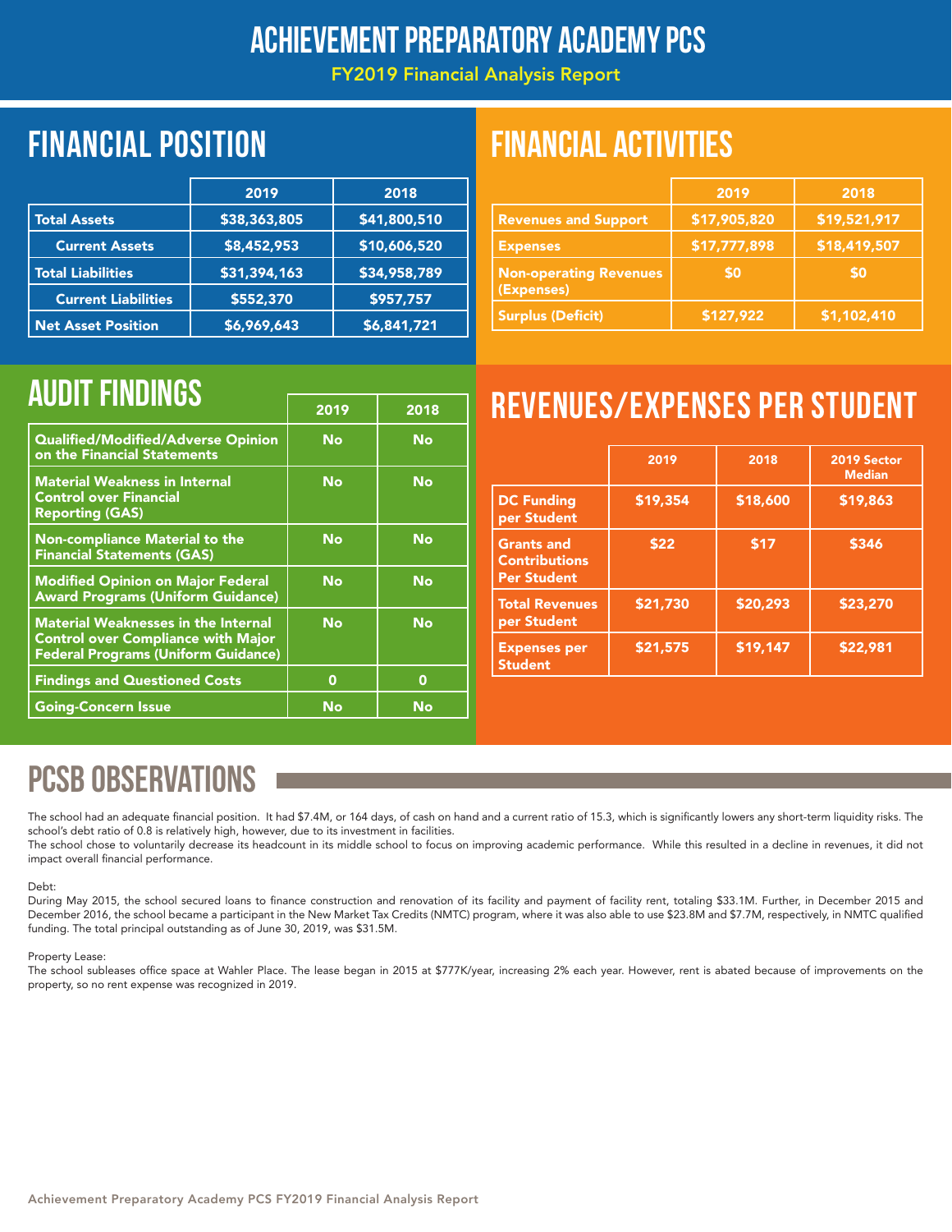### Achievement Preparatory Academy PCS

FY2019 Financial Analysis Report

## Financial position FINANCIAL ACTIVITIES

|                            | 2019         | 2018         |
|----------------------------|--------------|--------------|
| <b>Total Assets</b>        | \$38,363,805 | \$41,800,510 |
| <b>Current Assets</b>      | \$8,452,953  | \$10,606,520 |
| <b>Total Liabilities</b>   | \$31,394,163 | \$34,958,789 |
| <b>Current Liabilities</b> | \$552,370    | \$957,757    |
| <b>Net Asset Position</b>  | \$6,969,643  | \$6,841,721  |

|                                             | 2019         | 2018         |
|---------------------------------------------|--------------|--------------|
| <b>Revenues and Support</b>                 | \$17,905,820 | \$19,521,917 |
| <b>Expenses</b>                             | \$17,777,898 | \$18,419,507 |
| <b>Non-operating Revenues</b><br>(Expenses) | <b>SO</b>    | <b>SO</b>    |
| <b>Surplus (Deficit)</b>                    | \$127,922    | \$1,102,410  |

|                                                                                                                                       | 2019 | 2018      |
|---------------------------------------------------------------------------------------------------------------------------------------|------|-----------|
| Qualified/Modified/Adverse Opinion<br>on the Financial Statements                                                                     | No   | <b>No</b> |
| <b>Material Weakness in Internal</b><br><b>Control over Financial</b><br><b>Reporting (GAS)</b>                                       | No   | No        |
| <b>Non-compliance Material to the</b><br><b>Financial Statements (GAS)</b>                                                            | No   | <b>No</b> |
| <b>Modified Opinion on Major Federal</b><br><b>Award Programs (Uniform Guidance)</b>                                                  | No   | <b>No</b> |
| <b>Material Weaknesses in the Internal</b><br><b>Control over Compliance with Major</b><br><b>Federal Programs (Uniform Guidance)</b> | No   | <b>No</b> |
| <b>Findings and Questioned Costs</b>                                                                                                  | 0    | 0         |
| <b>Going-Concern Issue</b>                                                                                                            | No   | No        |

# AUDIT FINDINGS **The CONSTRUCT OF STRUCK CONSTRUCT REVENUES/EXPENSES PER STUDENT**

|                                                                 | 2019     | 2018     | 2019 Sector<br><b>Median</b> |
|-----------------------------------------------------------------|----------|----------|------------------------------|
| <b>DC Funding</b><br>per Student                                | \$19,354 | \$18,600 | \$19,863                     |
| <b>Grants and</b><br><b>Contributions</b><br><b>Per Student</b> | \$22     | \$17     | \$346                        |
| <b>Total Revenues</b><br>per Student                            | \$21,730 | \$20,293 | \$23,270                     |
| <b>Expenses per</b><br><b>Student</b>                           | \$21,575 | \$19,147 | \$22,981                     |

## PCSB OBSERVATIONS

The school had an adequate financial position. It had \$7.4M, or 164 days, of cash on hand and a current ratio of 15.3, which is significantly lowers any short-term liquidity risks. The school's debt ratio of 0.8 is relatively high, however, due to its investment in facilities.

The school chose to voluntarily decrease its headcount in its middle school to focus on improving academic performance. While this resulted in a decline in revenues, it did not impact overall financial performance.

### Debt:

During May 2015, the school secured loans to finance construction and renovation of its facility and payment of facility rent, totaling \$33.1M. Further, in December 2015 and December 2016, the school became a participant in the New Market Tax Credits (NMTC) program, where it was also able to use \$23.8M and \$7.7M, respectively, in NMTC qualified funding. The total principal outstanding as of June 30, 2019, was \$31.5M.

### Property Lease:

The school subleases office space at Wahler Place. The lease began in 2015 at \$777K/year, increasing 2% each year. However, rent is abated because of improvements on the property, so no rent expense was recognized in 2019.